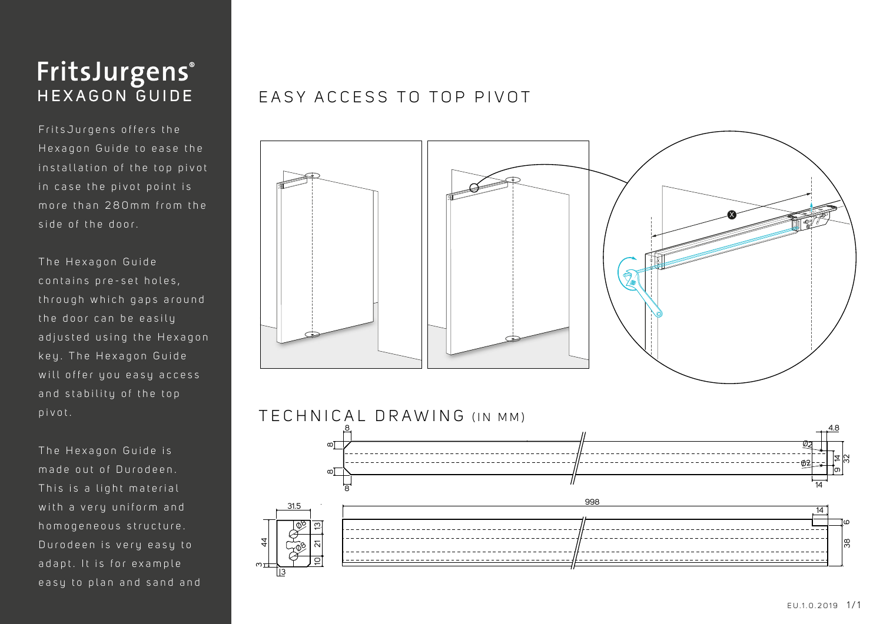## FritsJurgens® HEXAGON GUIDE

Frits Jurgens offers the Hexagon Guide to ease the in stall ation of the top pivot in case the pivot point is more than 280mm from the side of the door.

The Hexagon Guide contains pre-set holes, through which gaps around the door can be easily adjusted using the Hexagon key. The Hexagon Guide will offer you easy access and stability of the top pivot.

The Hexagon Guide is made out of Durodeen. This is a light material with a very uniform and homogeneous structure. Durodeen is very easy to ad a pt. It is for example easy to plan and sand and

## EASY ACCESS TO TOP PIVOT